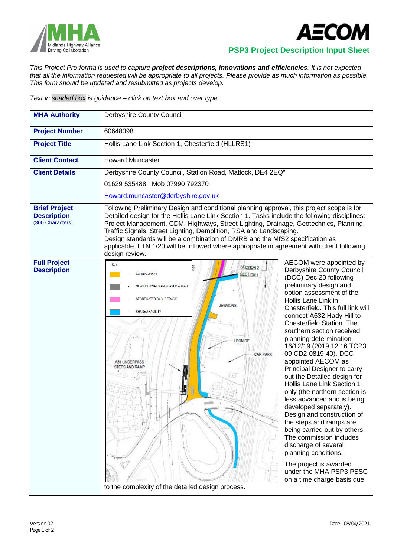



 **PSP3 Project Description Input Sheet**

*This Project Pro-forma is used to capture project descriptions, innovations and efficiencies. It is not expected that all the information requested will be appropriate to all projects. Please provide as much information as possible. This form should be updated and resubmitted as projects develop.*

*Text in shaded box is guidance – click on text box and over type.*

| <b>MHA Authority</b>                                           | Derbyshire County Council                                                                                                                                                                                                                                                                                                                                                                                                                                                                                                                               |                                                                                                                                                                                                                                                                                                                                                                                                                                                                                                                                                                                                                                                                                                                                                                                                                                                 |
|----------------------------------------------------------------|---------------------------------------------------------------------------------------------------------------------------------------------------------------------------------------------------------------------------------------------------------------------------------------------------------------------------------------------------------------------------------------------------------------------------------------------------------------------------------------------------------------------------------------------------------|-------------------------------------------------------------------------------------------------------------------------------------------------------------------------------------------------------------------------------------------------------------------------------------------------------------------------------------------------------------------------------------------------------------------------------------------------------------------------------------------------------------------------------------------------------------------------------------------------------------------------------------------------------------------------------------------------------------------------------------------------------------------------------------------------------------------------------------------------|
| <b>Project Number</b>                                          | 60648098                                                                                                                                                                                                                                                                                                                                                                                                                                                                                                                                                |                                                                                                                                                                                                                                                                                                                                                                                                                                                                                                                                                                                                                                                                                                                                                                                                                                                 |
| <b>Project Title</b>                                           | Hollis Lane Link Section 1, Chesterfield (HLLRS1)                                                                                                                                                                                                                                                                                                                                                                                                                                                                                                       |                                                                                                                                                                                                                                                                                                                                                                                                                                                                                                                                                                                                                                                                                                                                                                                                                                                 |
| <b>Client Contact</b>                                          | <b>Howard Muncaster</b>                                                                                                                                                                                                                                                                                                                                                                                                                                                                                                                                 |                                                                                                                                                                                                                                                                                                                                                                                                                                                                                                                                                                                                                                                                                                                                                                                                                                                 |
| <b>Client Details</b>                                          | Derbyshire County Council, Station Road, Matlock, DE4 2EQ"                                                                                                                                                                                                                                                                                                                                                                                                                                                                                              |                                                                                                                                                                                                                                                                                                                                                                                                                                                                                                                                                                                                                                                                                                                                                                                                                                                 |
|                                                                | 01629 535488 Mob 07990 792370                                                                                                                                                                                                                                                                                                                                                                                                                                                                                                                           |                                                                                                                                                                                                                                                                                                                                                                                                                                                                                                                                                                                                                                                                                                                                                                                                                                                 |
|                                                                | Howard.muncaster@derbyshire.gov.uk                                                                                                                                                                                                                                                                                                                                                                                                                                                                                                                      |                                                                                                                                                                                                                                                                                                                                                                                                                                                                                                                                                                                                                                                                                                                                                                                                                                                 |
| <b>Brief Project</b><br><b>Description</b><br>(300 Characters) | Following Preliminary Design and conditional planning approval, this project scope is for<br>Detailed design for the Hollis Lane Link Section 1. Tasks include the following disciplines:<br>Project Management, CDM, Highways, Street Lighting, Drainage, Geotechnics, Planning,<br>Traffic Signals, Street Lighting, Demolition, RSA and Landscaping.<br>Design standards will be a combination of DMRB and the MfS2 specification as<br>applicable. LTN 1/20 will be followed where appropriate in agreement with client following<br>design review. |                                                                                                                                                                                                                                                                                                                                                                                                                                                                                                                                                                                                                                                                                                                                                                                                                                                 |
| <b>Full Project</b><br><b>Description</b>                      | <b>KEY</b><br><b>SECTION 2</b><br>SECTION 1<br>CARRIAGEWAY<br>NEW FOOTWAYS AND PAVED AREAS<br>SEGREGATED CYCLE TRACK<br><b>JEWSONS</b><br><b>SHARED FACILITY</b><br>LEONIDE<br><b>CAR PARK</b><br><b>461 UNDERPASS</b><br><b>STEPS AND RAMP</b><br>$\sqrt{2}$<br>to the complexity of the detailed design process.                                                                                                                                                                                                                                      | AECOM were appointed by<br>Derbyshire County Council<br>(DCC) Dec 20 following<br>preliminary design and<br>option assessment of the<br>Hollis Lane Link in<br>Chesterfield. This full link will<br>connect A632 Hady Hill to<br><b>Chesterfield Station. The</b><br>southern section received<br>planning determination<br>16/12/19 (2019 12 16 TCP3<br>09 CD2-0819-40). DCC<br>appointed AECOM as<br>Principal Designer to carry<br>out the Detailed design for<br>Hollis Lane Link Section 1<br>only (the northern section is<br>less advanced and is being<br>developed separately).<br>Design and construction of<br>the steps and ramps are<br>being carried out by others.<br>The commission includes<br>discharge of several<br>planning conditions.<br>The project is awarded<br>under the MHA PSP3 PSSC<br>on a time charge basis due |